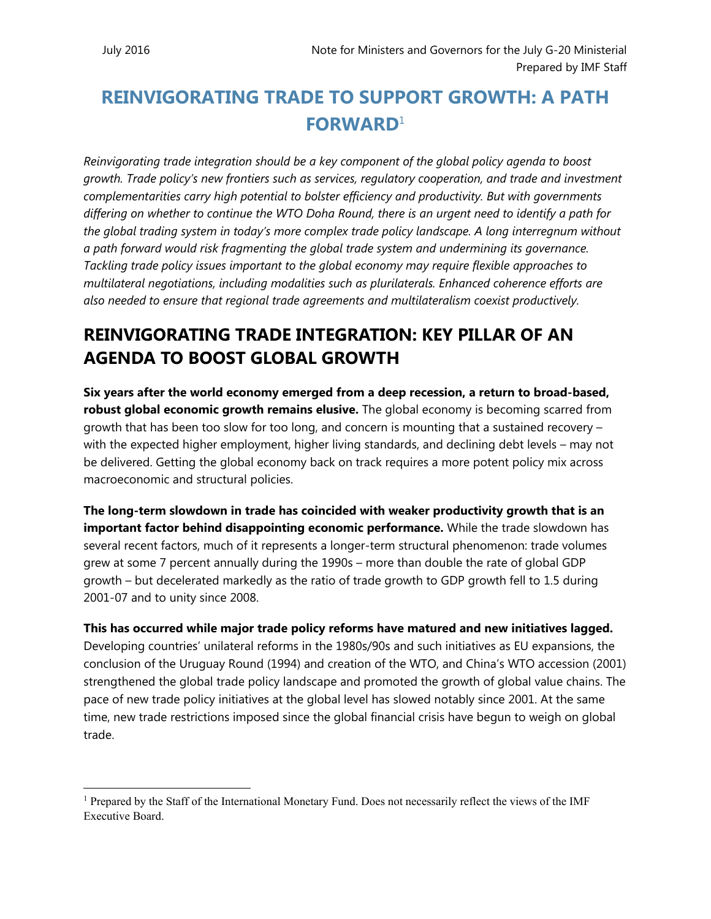$\overline{a}$ 

# **REINVIGORATING TRADE TO SUPPORT GROWTH: A PATH FORWARD**<sup>1</sup>

*Reinvigorating trade integration should be a key component of the global policy agenda to boost growth. Trade policy's new frontiers such as services, regulatory cooperation, and trade and investment complementarities carry high potential to bolster efficiency and productivity. But with governments differing on whether to continue the WTO Doha Round, there is an urgent need to identify a path for the global trading system in today's more complex trade policy landscape. A long interregnum without a path forward would risk fragmenting the global trade system and undermining its governance. Tackling trade policy issues important to the global economy may require flexible approaches to multilateral negotiations, including modalities such as plurilaterals. Enhanced coherence efforts are also needed to ensure that regional trade agreements and multilateralism coexist productively.* 

### **REINVIGORATING TRADE INTEGRATION: KEY PILLAR OF AN AGENDA TO BOOST GLOBAL GROWTH**

**Six years after the world economy emerged from a deep recession, a return to broad-based, robust global economic growth remains elusive.** The global economy is becoming scarred from growth that has been too slow for too long, and concern is mounting that a sustained recovery – with the expected higher employment, higher living standards, and declining debt levels – may not be delivered. Getting the global economy back on track requires a more potent policy mix across macroeconomic and structural policies.

**The long-term slowdown in trade has coincided with weaker productivity growth that is an important factor behind disappointing economic performance.** While the trade slowdown has several recent factors, much of it represents a longer-term structural phenomenon: trade volumes grew at some 7 percent annually during the 1990s – more than double the rate of global GDP growth – but decelerated markedly as the ratio of trade growth to GDP growth fell to 1.5 during 2001-07 and to unity since 2008.

**This has occurred while major trade policy reforms have matured and new initiatives lagged.**  Developing countries' unilateral reforms in the 1980s/90s and such initiatives as EU expansions, the conclusion of the Uruguay Round (1994) and creation of the WTO, and China's WTO accession (2001) strengthened the global trade policy landscape and promoted the growth of global value chains. The pace of new trade policy initiatives at the global level has slowed notably since 2001. At the same time, new trade restrictions imposed since the global financial crisis have begun to weigh on global trade.

<sup>&</sup>lt;sup>1</sup> Prepared by the Staff of the International Monetary Fund. Does not necessarily reflect the views of the IMF Executive Board.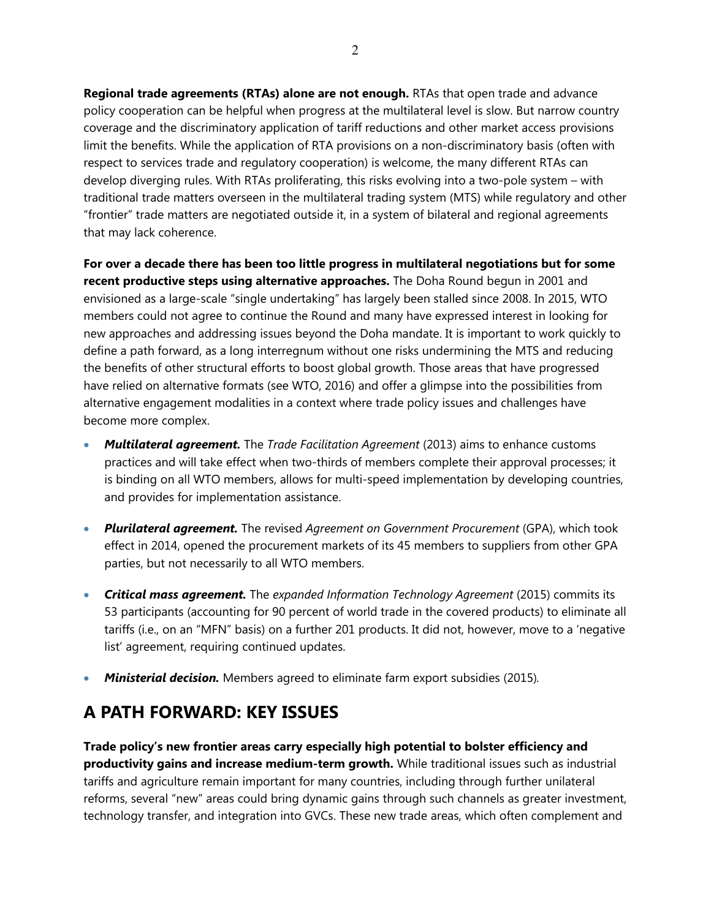**Regional trade agreements (RTAs) alone are not enough.** RTAs that open trade and advance policy cooperation can be helpful when progress at the multilateral level is slow. But narrow country coverage and the discriminatory application of tariff reductions and other market access provisions limit the benefits. While the application of RTA provisions on a non-discriminatory basis (often with respect to services trade and regulatory cooperation) is welcome, the many different RTAs can develop diverging rules. With RTAs proliferating, this risks evolving into a two-pole system – with traditional trade matters overseen in the multilateral trading system (MTS) while regulatory and other "frontier" trade matters are negotiated outside it, in a system of bilateral and regional agreements that may lack coherence.

**For over a decade there has been too little progress in multilateral negotiations but for some recent productive steps using alternative approaches.** The Doha Round begun in 2001 and envisioned as a large-scale "single undertaking" has largely been stalled since 2008. In 2015, WTO members could not agree to continue the Round and many have expressed interest in looking for new approaches and addressing issues beyond the Doha mandate. It is important to work quickly to define a path forward, as a long interregnum without one risks undermining the MTS and reducing the benefits of other structural efforts to boost global growth. Those areas that have progressed have relied on alternative formats (see WTO, 2016) and offer a glimpse into the possibilities from alternative engagement modalities in a context where trade policy issues and challenges have become more complex.

- *Multilateral agreement.* The *Trade Facilitation Agreement* (2013) aims to enhance customs practices and will take effect when two-thirds of members complete their approval processes; it is binding on all WTO members, allows for multi-speed implementation by developing countries, and provides for implementation assistance.
- *Plurilateral agreement.* The revised *Agreement on Government Procurement* (GPA), which took effect in 2014, opened the procurement markets of its 45 members to suppliers from other GPA parties, but not necessarily to all WTO members.
- *Critical mass agreement.* The *expanded Information Technology Agreement* (2015) commits its 53 participants (accounting for 90 percent of world trade in the covered products) to eliminate all tariffs (i.e., on an "MFN" basis) on a further 201 products. It did not, however, move to a 'negative list' agreement, requiring continued updates.
- *Ministerial decision.* Members agreed to eliminate farm export subsidies (2015)*.*

### **A PATH FORWARD: KEY ISSUES**

**Trade policy's new frontier areas carry especially high potential to bolster efficiency and productivity gains and increase medium-term growth.** While traditional issues such as industrial tariffs and agriculture remain important for many countries, including through further unilateral reforms, several "new" areas could bring dynamic gains through such channels as greater investment, technology transfer, and integration into GVCs. These new trade areas, which often complement and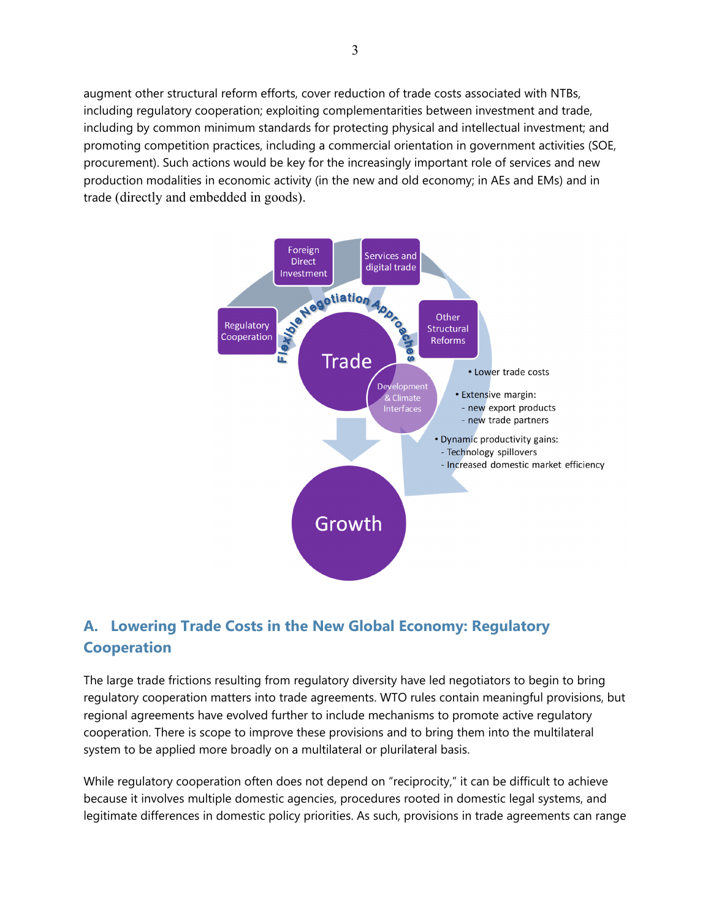augment other structural reform efforts, cover reduction of trade costs associated with NTBs, including regulatory cooperation; exploiting complementarities between investment and trade, including by common minimum standards for protecting physical and intellectual investment; and promoting competition practices, including a commercial orientation in government activities (SOE, procurement). Such actions would be key for the increasingly important role of services and new production modalities in economic activity (in the new and old economy; in AEs and EMs) and in trade (directly and embedded in goods).



### **A. Lowering Trade Costs in the New Global Economy: Regulatory Cooperation**

The large trade frictions resulting from regulatory diversity have led negotiators to begin to bring regulatory cooperation matters into trade agreements. WTO rules contain meaningful provisions, but regional agreements have evolved further to include mechanisms to promote active regulatory cooperation. There is scope to improve these provisions and to bring them into the multilateral system to be applied more broadly on a multilateral or plurilateral basis.

While regulatory cooperation often does not depend on "reciprocity," it can be difficult to achieve because it involves multiple domestic agencies, procedures rooted in domestic legal systems, and legitimate differences in domestic policy priorities. As such, provisions in trade agreements can range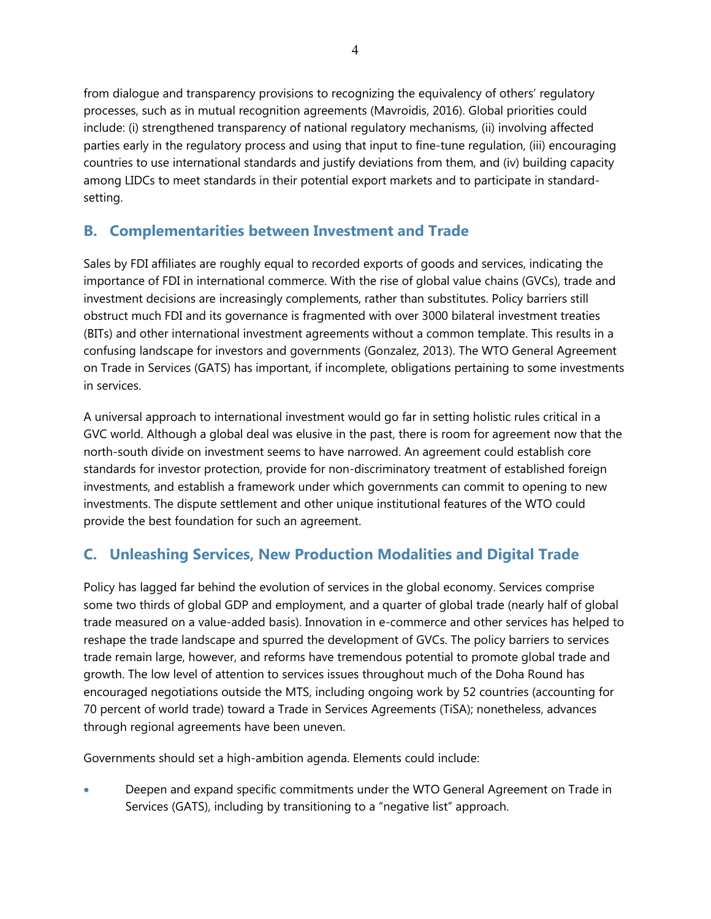from dialogue and transparency provisions to recognizing the equivalency of others' regulatory processes, such as in mutual recognition agreements (Mavroidis, 2016). Global priorities could include: (i) strengthened transparency of national regulatory mechanisms, (ii) involving affected parties early in the regulatory process and using that input to fine-tune regulation, (iii) encouraging countries to use international standards and justify deviations from them, and (iv) building capacity among LIDCs to meet standards in their potential export markets and to participate in standardsetting.

#### **B. Complementarities between Investment and Trade**

Sales by FDI affiliates are roughly equal to recorded exports of goods and services, indicating the importance of FDI in international commerce. With the rise of global value chains (GVCs), trade and investment decisions are increasingly complements, rather than substitutes. Policy barriers still obstruct much FDI and its governance is fragmented with over 3000 bilateral investment treaties (BITs) and other international investment agreements without a common template. This results in a confusing landscape for investors and governments (Gonzalez, 2013). The WTO General Agreement on Trade in Services (GATS) has important, if incomplete, obligations pertaining to some investments in services.

A universal approach to international investment would go far in setting holistic rules critical in a GVC world. Although a global deal was elusive in the past, there is room for agreement now that the north-south divide on investment seems to have narrowed. An agreement could establish core standards for investor protection, provide for non-discriminatory treatment of established foreign investments, and establish a framework under which governments can commit to opening to new investments. The dispute settlement and other unique institutional features of the WTO could provide the best foundation for such an agreement.

### **C. Unleashing Services, New Production Modalities and Digital Trade**

Policy has lagged far behind the evolution of services in the global economy. Services comprise some two thirds of global GDP and employment, and a quarter of global trade (nearly half of global trade measured on a value-added basis). Innovation in e-commerce and other services has helped to reshape the trade landscape and spurred the development of GVCs. The policy barriers to services trade remain large, however, and reforms have tremendous potential to promote global trade and growth. The low level of attention to services issues throughout much of the Doha Round has encouraged negotiations outside the MTS, including ongoing work by 52 countries (accounting for 70 percent of world trade) toward a Trade in Services Agreements (TiSA); nonetheless, advances through regional agreements have been uneven.

Governments should set a high-ambition agenda. Elements could include:

 Deepen and expand specific commitments under the WTO General Agreement on Trade in Services (GATS), including by transitioning to a "negative list" approach.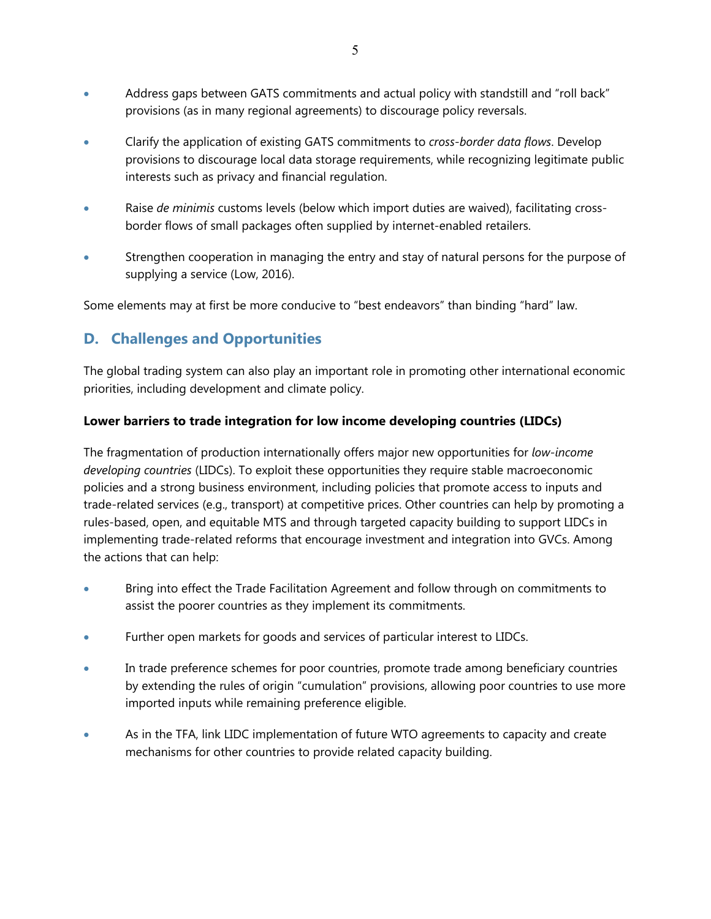- Address gaps between GATS commitments and actual policy with standstill and "roll back" provisions (as in many regional agreements) to discourage policy reversals.
- Clarify the application of existing GATS commitments to *cross-border data flows*. Develop provisions to discourage local data storage requirements, while recognizing legitimate public interests such as privacy and financial regulation.
- Raise *de minimis* customs levels (below which import duties are waived), facilitating crossborder flows of small packages often supplied by internet-enabled retailers.
- Strengthen cooperation in managing the entry and stay of natural persons for the purpose of supplying a service (Low, 2016).

Some elements may at first be more conducive to "best endeavors" than binding "hard" law.

#### **D. Challenges and Opportunities**

The global trading system can also play an important role in promoting other international economic priorities, including development and climate policy.

#### **Lower barriers to trade integration for low income developing countries (LIDCs)**

The fragmentation of production internationally offers major new opportunities for *low-income developing countries* (LIDCs). To exploit these opportunities they require stable macroeconomic policies and a strong business environment, including policies that promote access to inputs and trade-related services (e.g., transport) at competitive prices. Other countries can help by promoting a rules-based, open, and equitable MTS and through targeted capacity building to support LIDCs in implementing trade-related reforms that encourage investment and integration into GVCs. Among the actions that can help:

- Bring into effect the Trade Facilitation Agreement and follow through on commitments to assist the poorer countries as they implement its commitments.
- Further open markets for goods and services of particular interest to LIDCs.
- In trade preference schemes for poor countries, promote trade among beneficiary countries by extending the rules of origin "cumulation" provisions, allowing poor countries to use more imported inputs while remaining preference eligible.
- As in the TFA, link LIDC implementation of future WTO agreements to capacity and create mechanisms for other countries to provide related capacity building.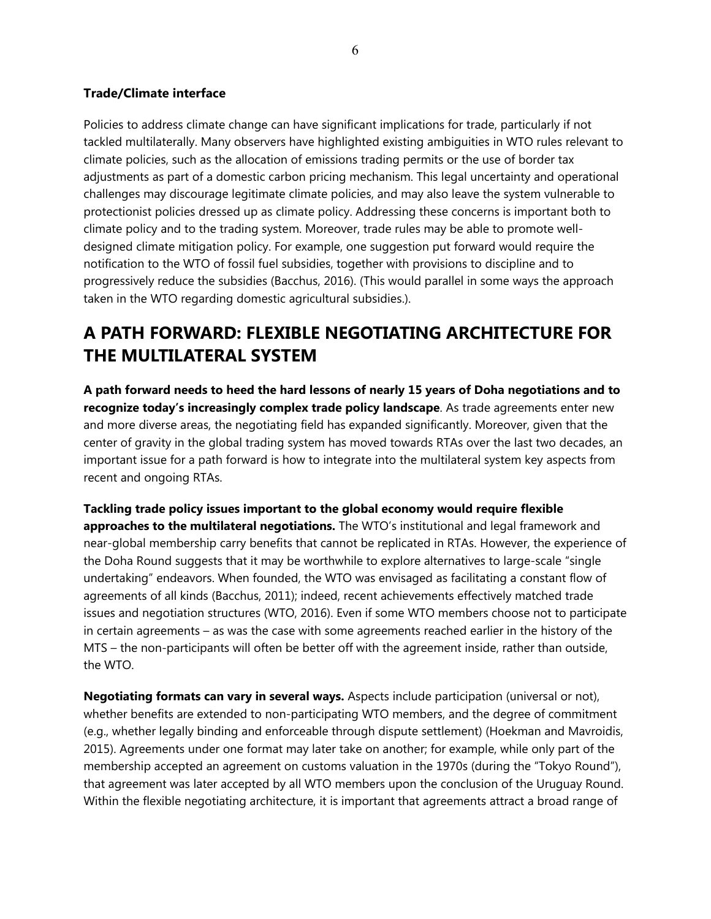#### **Trade/Climate interface**

Policies to address climate change can have significant implications for trade, particularly if not tackled multilaterally. Many observers have highlighted existing ambiguities in WTO rules relevant to climate policies, such as the allocation of emissions trading permits or the use of border tax adjustments as part of a domestic carbon pricing mechanism. This legal uncertainty and operational challenges may discourage legitimate climate policies, and may also leave the system vulnerable to protectionist policies dressed up as climate policy. Addressing these concerns is important both to climate policy and to the trading system. Moreover, trade rules may be able to promote welldesigned climate mitigation policy. For example, one suggestion put forward would require the notification to the WTO of fossil fuel subsidies, together with provisions to discipline and to progressively reduce the subsidies (Bacchus, 2016). (This would parallel in some ways the approach taken in the WTO regarding domestic agricultural subsidies.).

## **A PATH FORWARD: FLEXIBLE NEGOTIATING ARCHITECTURE FOR THE MULTILATERAL SYSTEM**

**A path forward needs to heed the hard lessons of nearly 15 years of Doha negotiations and to recognize today's increasingly complex trade policy landscape**. As trade agreements enter new and more diverse areas, the negotiating field has expanded significantly. Moreover, given that the center of gravity in the global trading system has moved towards RTAs over the last two decades, an important issue for a path forward is how to integrate into the multilateral system key aspects from recent and ongoing RTAs.

**Tackling trade policy issues important to the global economy would require flexible approaches to the multilateral negotiations.** The WTO's institutional and legal framework and near-global membership carry benefits that cannot be replicated in RTAs. However, the experience of the Doha Round suggests that it may be worthwhile to explore alternatives to large-scale "single undertaking" endeavors. When founded, the WTO was envisaged as facilitating a constant flow of agreements of all kinds (Bacchus, 2011); indeed, recent achievements effectively matched trade issues and negotiation structures (WTO, 2016). Even if some WTO members choose not to participate in certain agreements – as was the case with some agreements reached earlier in the history of the MTS – the non-participants will often be better off with the agreement inside, rather than outside, the WTO.

**Negotiating formats can vary in several ways.** Aspects include participation (universal or not), whether benefits are extended to non-participating WTO members, and the degree of commitment (e.g., whether legally binding and enforceable through dispute settlement) (Hoekman and Mavroidis, 2015). Agreements under one format may later take on another; for example, while only part of the membership accepted an agreement on customs valuation in the 1970s (during the "Tokyo Round"), that agreement was later accepted by all WTO members upon the conclusion of the Uruguay Round. Within the flexible negotiating architecture, it is important that agreements attract a broad range of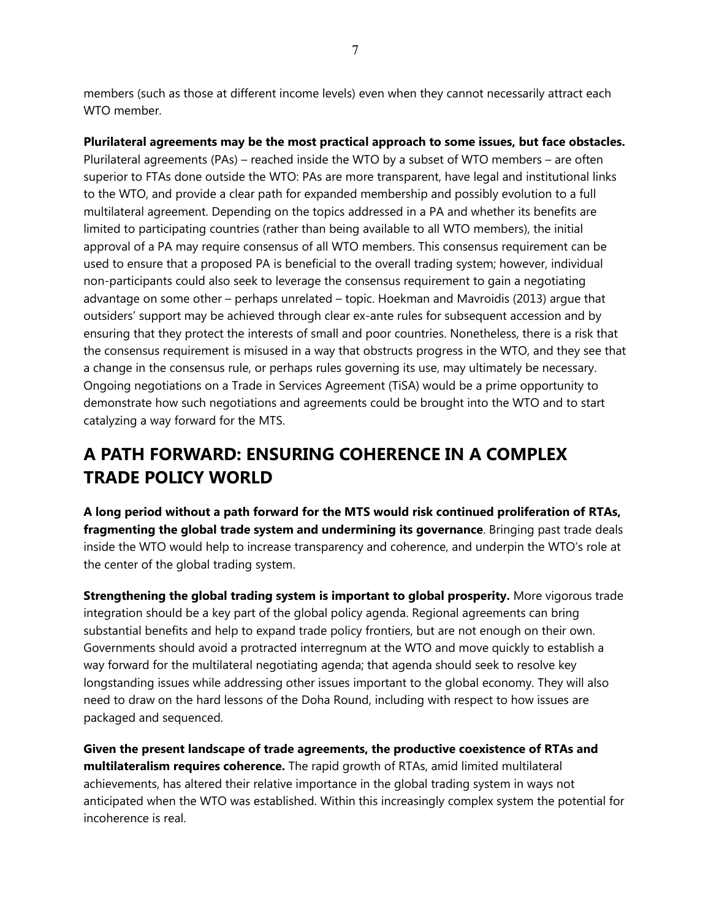members (such as those at different income levels) even when they cannot necessarily attract each WTO member.

**Plurilateral agreements may be the most practical approach to some issues, but face obstacles.**  Plurilateral agreements (PAs) – reached inside the WTO by a subset of WTO members – are often superior to FTAs done outside the WTO: PAs are more transparent, have legal and institutional links to the WTO, and provide a clear path for expanded membership and possibly evolution to a full multilateral agreement. Depending on the topics addressed in a PA and whether its benefits are limited to participating countries (rather than being available to all WTO members), the initial approval of a PA may require consensus of all WTO members. This consensus requirement can be used to ensure that a proposed PA is beneficial to the overall trading system; however, individual non-participants could also seek to leverage the consensus requirement to gain a negotiating advantage on some other – perhaps unrelated – topic. Hoekman and Mavroidis (2013) argue that outsiders' support may be achieved through clear ex-ante rules for subsequent accession and by ensuring that they protect the interests of small and poor countries. Nonetheless, there is a risk that the consensus requirement is misused in a way that obstructs progress in the WTO, and they see that a change in the consensus rule, or perhaps rules governing its use, may ultimately be necessary. Ongoing negotiations on a Trade in Services Agreement (TiSA) would be a prime opportunity to demonstrate how such negotiations and agreements could be brought into the WTO and to start catalyzing a way forward for the MTS.

## **A PATH FORWARD: ENSURING COHERENCE IN A COMPLEX TRADE POLICY WORLD**

**A long period without a path forward for the MTS would risk continued proliferation of RTAs, fragmenting the global trade system and undermining its governance**. Bringing past trade deals inside the WTO would help to increase transparency and coherence, and underpin the WTO's role at the center of the global trading system.

**Strengthening the global trading system is important to global prosperity.** More vigorous trade integration should be a key part of the global policy agenda. Regional agreements can bring substantial benefits and help to expand trade policy frontiers, but are not enough on their own. Governments should avoid a protracted interregnum at the WTO and move quickly to establish a way forward for the multilateral negotiating agenda; that agenda should seek to resolve key longstanding issues while addressing other issues important to the global economy. They will also need to draw on the hard lessons of the Doha Round, including with respect to how issues are packaged and sequenced.

**Given the present landscape of trade agreements, the productive coexistence of RTAs and multilateralism requires coherence.** The rapid growth of RTAs, amid limited multilateral achievements, has altered their relative importance in the global trading system in ways not anticipated when the WTO was established. Within this increasingly complex system the potential for incoherence is real.